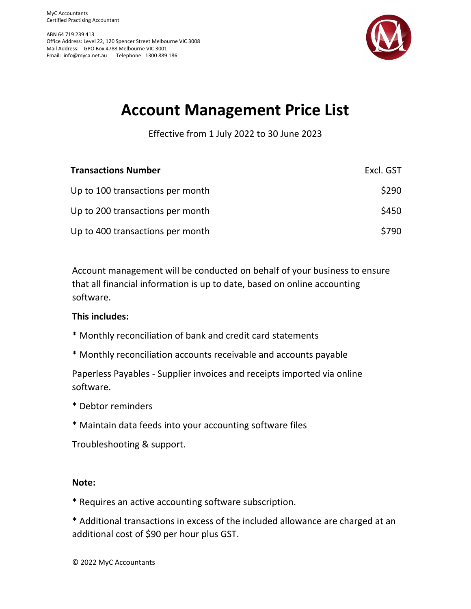ABN 64 719 239 413 Office Address: Level 22, 120 Spencer Street Melbourne VIC 3008 Mail Address: GPO Box 4788 Melbourne VIC 3001 Email: info@myca.net.au Telephone: 1300 889 186



## **Account Management Price List**

Effective from 1 July 2022 to 30 June 2023

| <b>Transactions Number</b>       | Excl. GST |
|----------------------------------|-----------|
| Up to 100 transactions per month | \$290     |
| Up to 200 transactions per month | \$450     |
| Up to 400 transactions per month | \$790     |

Account management will be conducted on behalf of your business to ensure that all financial information is up to date, based on online accounting software.

### **This includes:**

- \* Monthly reconciliation of bank and credit card statements
- \* Monthly reconciliation accounts receivable and accounts payable

Paperless Payables ‐ Supplier invoices and receipts imported via online software.

- \* Debtor reminders
- \* Maintain data feeds into your accounting software files

Troubleshooting & support.

#### **Note:**

\* Requires an active accounting software subscription.

\* Additional transactions in excess of the included allowance are charged at an additional cost of \$90 per hour plus GST.

© 2022 MyC Accountants